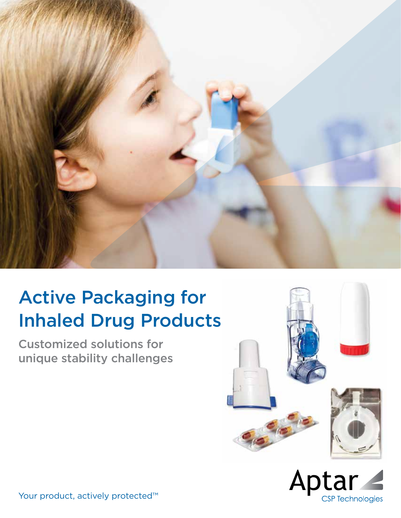

## Active Packaging for Inhaled Drug Products

Customized solutions for unique stability challenges





Your product, actively protected™